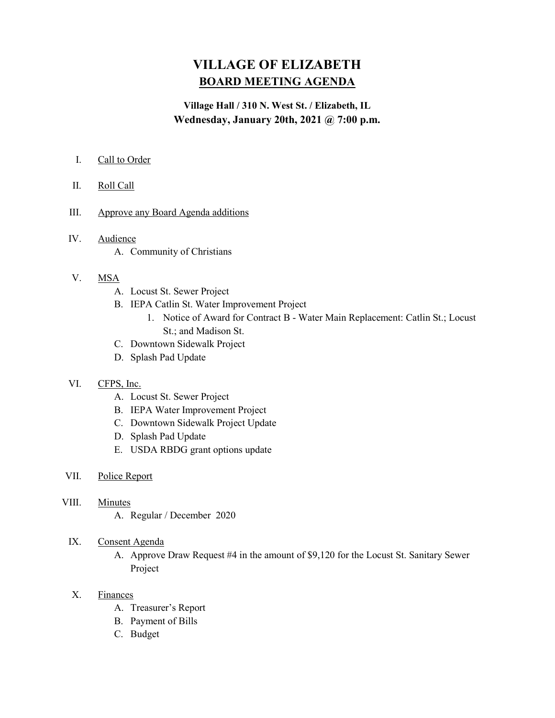# VILLAGE OF ELIZABETH BOARD MEETING AGENDA

## Village Hall / 310 N. West St. / Elizabeth, IL Wednesday, January 20th, 2021 @ 7:00 p.m.

- I. Call to Order
- II. Roll Call
- III. Approve any Board Agenda additions
- IV. Audience
	- A. Community of Christians
- V. MSA
	- A. Locust St. Sewer Project
	- B. IEPA Catlin St. Water Improvement Project
		- 1. Notice of Award for Contract B Water Main Replacement: Catlin St.; Locust St.; and Madison St.
	- C. Downtown Sidewalk Project
	- D. Splash Pad Update

#### VI. CFPS, Inc.

- A. Locust St. Sewer Project
- B. IEPA Water Improvement Project
- C. Downtown Sidewalk Project Update
- D. Splash Pad Update
- E. USDA RBDG grant options update
- VII. Police Report
- VIII. Minutes
	- A. Regular / December 2020
	- IX. Consent Agenda
		- A. Approve Draw Request #4 in the amount of \$9,120 for the Locust St. Sanitary Sewer Project
	- X. Finances
		- A. Treasurer's Report
		- B. Payment of Bills
		- C. Budget